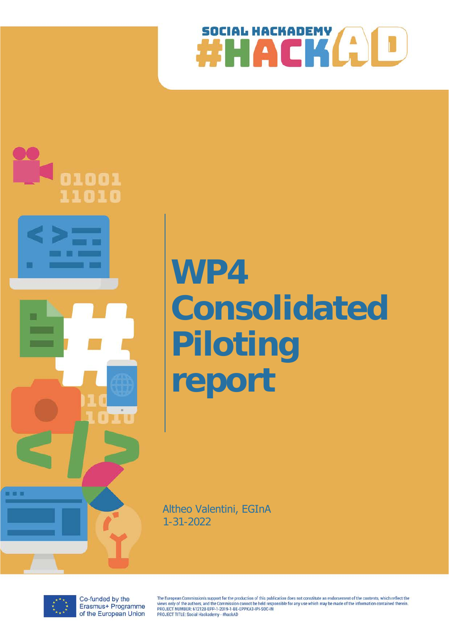



# **WP4 Consolidated Piloting report**

Altheo Valentini, EGInA 1-31-2022



Co-funded by the Erasmus+ Programme of the European Union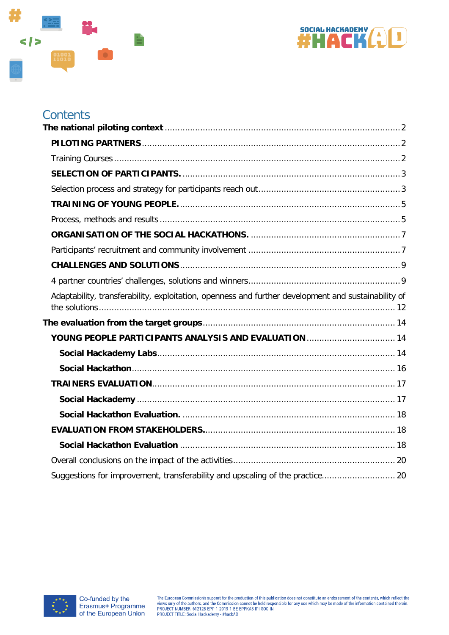



# Contents

| Adaptability, transferability, exploitation, openness and further development and sustainability of |  |
|-----------------------------------------------------------------------------------------------------|--|
|                                                                                                     |  |
|                                                                                                     |  |
|                                                                                                     |  |
|                                                                                                     |  |
|                                                                                                     |  |
|                                                                                                     |  |
|                                                                                                     |  |
|                                                                                                     |  |
|                                                                                                     |  |
|                                                                                                     |  |
|                                                                                                     |  |

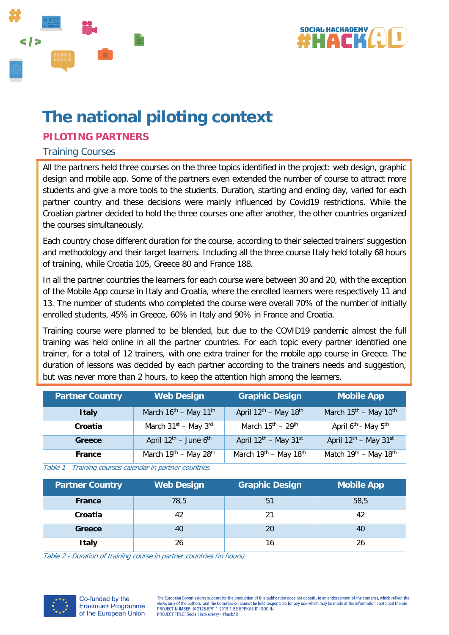



# <span id="page-2-0"></span>**The national piloting context**

# <span id="page-2-1"></span>**PILOTING PARTNERS**

#### <span id="page-2-2"></span>Training Courses

All the partners held three courses on the three topics identified in the project: web design, graphic design and mobile app. Some of the partners even extended the number of course to attract more students and give a more tools to the students. Duration, starting and ending day, varied for each partner country and these decisions were mainly influenced by Covid19 restrictions. While the Croatian partner decided to hold the three courses one after another, the other countries organized the courses simultaneously.

Each country chose different duration for the course, according to their selected trainers' suggestion and methodology and their target learners. Including all the three course Italy held totally 68 hours of training, while Croatia 105, Greece 80 and France 188.

In all the partner countries the learners for each course were between 30 and 20, with the exception of the Mobile App course in Italy and Croatia, where the enrolled learners were respectively 11 and 13. The number of students who completed the course were overall 70% of the number of initially enrolled students, 45% in Greece, 60% in Italy and 90% in France and Croatia.

Training course were planned to be blended, but due to the COVID19 pandemic almost the full training was held online in all the partner countries. For each topic every partner identified one trainer, for a total of 12 trainers, with one extra trainer for the mobile app course in Greece. The duration of lessons was decided by each partner according to the trainers needs and suggestion, but was never more than 2 hours, to keep the attention high among the learners.

| <b>Partner Country</b> | <b>Web Design</b>                             | <b>Graphic Design</b>                         | <b>Mobile App</b>                           |
|------------------------|-----------------------------------------------|-----------------------------------------------|---------------------------------------------|
| <b>Italy</b>           | March $16^{\text{th}}$ – May $11^{\text{th}}$ | April $12^{th}$ – May $18^{th}$               | March $15^{th}$ – May $10^{th}$             |
| Croatia                | March $31^{st}$ – May $3^{rd}$                | March $15^{\text{th}} - 29^{\text{th}}$       | April 6 <sup>th</sup> - May 5 <sup>th</sup> |
| Greece                 | April $12^{\text{th}}$ – June $6^{\text{th}}$ | April $12^{th}$ – May $31^{st}$               | April $12^{th}$ – May $31^{st}$             |
| France                 | March 19th - May 28th                         | March 19 <sup>th</sup> - May 18 <sup>th</sup> | Match 19th - May 18th                       |

Table 1 - Training courses calendar in partner countries

| <b>Partner Country</b> | <b>Web Design</b> | <b>Graphic Design</b> | <b>Mobile App</b> |
|------------------------|-------------------|-----------------------|-------------------|
| <b>France</b>          | 78,5              | 51                    | 58,5              |
| Croatia                | 42                | 21                    | 42                |
| Greece                 | 40                | 20                    | 40                |
| <b>Italy</b>           | 26                | 16                    | 26                |

Table 2 - Duration of training course in partner countries (in hours)

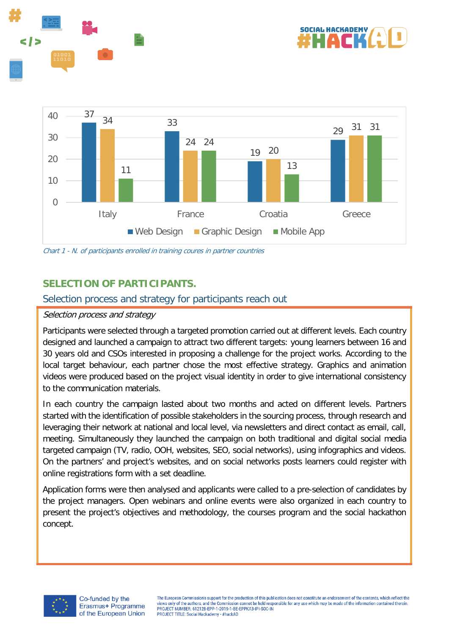





<span id="page-3-0"></span>Chart 1 - N. of participants enrolled in training coures in partner countries

# **SELECTION OF PARTICIPANTS.**

#### <span id="page-3-1"></span>Selection process and strategy for participants reach out

#### Selection process and strategy

Participants were selected through a targeted promotion carried out at different levels. Each country designed and launched a campaign to attract two different targets: young learners between 16 and 30 years old and CSOs interested in proposing a challenge for the project works. According to the local target behaviour, each partner chose the most effective strategy. Graphics and animation videos were produced based on the project visual identity in order to give international consistency to the communication materials.

In each country the campaign lasted about two months and acted on different levels. Partners started with the identification of possible stakeholders in the sourcing process, through research and leveraging their network at national and local level, via newsletters and direct contact as email, call, meeting. Simultaneously they launched the campaign on both traditional and digital social media targeted campaign (TV, radio, OOH, websites, SEO, social networks), using infographics and videos. On the partners' and project's websites, and on social networks posts learners could register with online registrations form with a set deadline.

Application forms were then analysed and applicants were called to a pre-selection of candidates by the project managers. Open webinars and online events were also organized in each country to present the project's objectives and methodology, the courses program and the social hackathon concept.

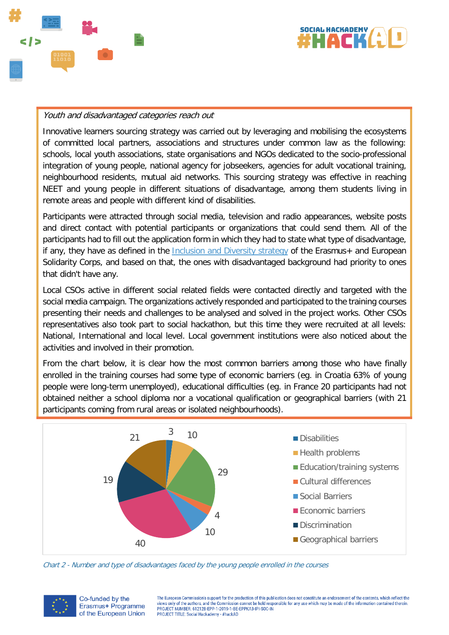



#### Youth and disadvantaged categories reach out

Innovative learners sourcing strategy was carried out by leveraging and mobilising the ecosystems of committed local partners, associations and structures under common law as the following: schools, local youth associations, state organisations and NGOs dedicated to the socio-professional integration of young people, national agency for jobseekers, agencies for adult vocational training, neighbourhood residents, mutual aid networks. This sourcing strategy was effective in reaching NEET and young people in different situations of disadvantage, among them students living in remote areas and people with different kind of disabilities.

Participants were attracted through social media, television and radio appearances, website posts and direct contact with potential participants or organizations that could send them. All of the participants had to fill out the application form in which they had to state what type of disadvantage, if any, they have as defined in the [Inclusion and Diversity strategy](https://www.salto-youth.net/downloads/4-17-4177/InclusionAndDiversityStrategy.pdf) of the Erasmus+ and European Solidarity Corps, and based on that, the ones with disadvantaged background had priority to ones that didn't have any.

Local CSOs active in different social related fields were contacted directly and targeted with the social media campaign. The organizations actively responded and participated to the training courses presenting their needs and challenges to be analysed and solved in the project works. Other CSOs representatives also took part to social hackathon, but this time they were recruited at all levels: National, International and local level. Local government institutions were also noticed about the activities and involved in their promotion.

From the chart below, it is clear how the most common barriers among those who have finally enrolled in the training courses had some type of economic barriers (eg. in Croatia 63% of young people were long-term unemployed), educational difficulties (eg. in France 20 participants had not obtained neither a school diploma nor a vocational qualification or geographical barriers (with 21 participants coming from rural areas or isolated neighbourhoods).



Chart 2 - Number and type of disadvantages faced by the young people enrolled in the courses



Co-funded by the Erasmus+ Programme of the European Union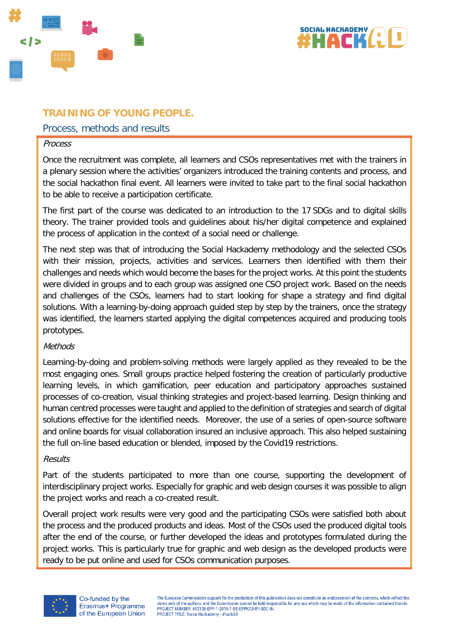



# <span id="page-5-0"></span>**TRAINING OF YOUNG PEOPLE.**

#### <span id="page-5-1"></span>Process, methods and results

#### Process

Once the recruitment was complete, all learners and CSOs representatives met with the trainers in a plenary session where the activities' organizers introduced the training contents and process, and the social hackathon final event. All learners were invited to take part to the final social hackathon to be able to receive a participation certificate.

The first part of the course was dedicated to an introduction to the 17 SDGs and to digital skills theory. The trainer provided tools and guidelines about his/her digital competence and explained the process of application in the context of a social need or challenge.

The next step was that of introducing the Social Hackademy methodology and the selected CSOs with their mission, projects, activities and services. Learners then identified with them their challenges and needs which would become the bases for the project works. At this point the students were divided in groups and to each group was assigned one CSO project work. Based on the needs and challenges of the CSOs, learners had to start looking for shape a strategy and find digital solutions. With a learning-by-doing approach guided step by step by the trainers, once the strategy was identified, the learners started applying the digital competences acquired and producing tools prototypes.

#### **Methods**

Learning-by-doing and problem-solving methods were largely applied as they revealed to be the most engaging ones. Small groups practice helped fostering the creation of particularly productive learning levels, in which gamification, peer education and participatory approaches sustained processes of co-creation, visual thinking strategies and project-based learning. Design thinking and human centred processes were taught and applied to the definition of strategies and search of digital solutions effective for the identified needs. Moreover, the use of a series of open-source software and online boards for visual collaboration insured an inclusive approach. This also helped sustaining the full on-line based education or blended, imposed by the Covid19 restrictions.

#### Results

Part of the students participated to more than one course, supporting the development of interdisciplinary project works. Especially for graphic and web design courses it was possible to align the project works and reach a co-created result.

Overall project work results were very good and the participating CSOs were satisfied both about the process and the produced products and ideas. Most of the CSOs used the produced digital tools after the end of the course, or further developed the ideas and prototypes formulated during the project works. This is particularly true for graphic and web design as the developed products were ready to be put online and used for CSOs communication purposes.

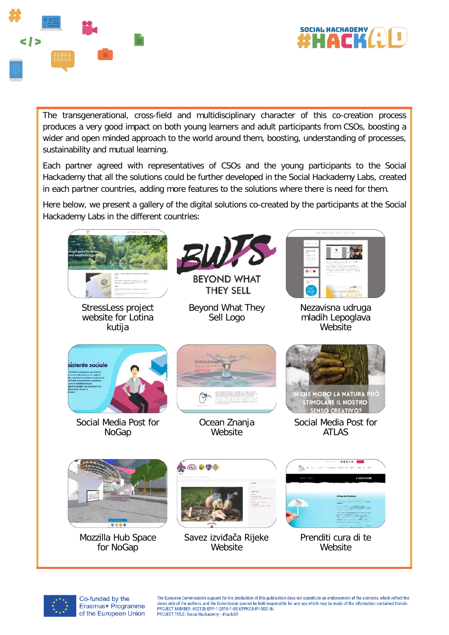



The transgenerational, cross-field and multidisciplinary character of this co-creation process produces a very good impact on both young learners and adult participants from CSOs, boosting a wider and open minded approach to the world around them, boosting, understanding of processes, sustainability and mutual learning.

Each partner agreed with representatives of CSOs and the young participants to the Social Hackademy that all the solutions could be further developed in the Social Hackademy Labs, created in each partner countries, adding more features to the solutions where there is need for them.

Here below, we present a gallery of the digital solutions co-created by the participants at the Social Hackademy Labs in the different countries:





Co-funded by the Erasmus+ Programme of the European Union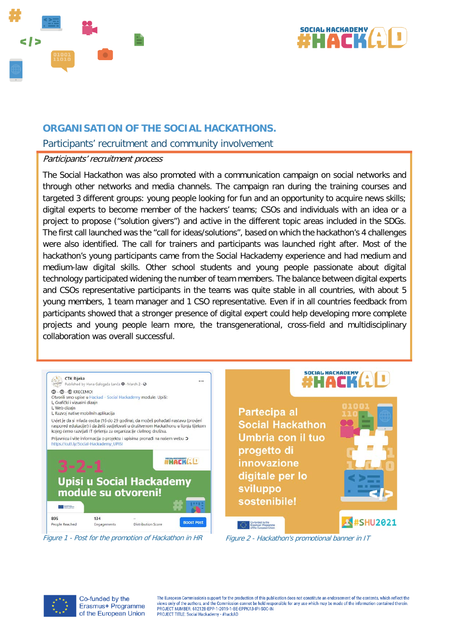



# <span id="page-7-0"></span>**ORGANISATION OF THE SOCIAL HACKATHONS.**

#### <span id="page-7-1"></span>Participants' recruitment and community involvement

#### Participants' recruitment process

The Social Hackathon was also promoted with a communication campaign on social networks and through other networks and media channels. The campaign ran during the training courses and targeted 3 different groups: young people looking for fun and an opportunity to acquire news skills; digital experts to become member of the hackers' teams; CSOs and individuals with an idea or a project to propose ("solution givers") and active in the different topic areas included in the SDGs. The first call launched was the "call for ideas/solutions", based on which the hackathon's 4 challenges were also identified. The call for trainers and participants was launched right after. Most of the hackathon's young participants came from the Social Hackademy experience and had medium and medium-law digital skills. Other school students and young people passionate about digital technology participated widening the number of team members. The balance between digital experts and CSOs representative participants in the teams was quite stable in all countries, with about 5 young members, 1 team manager and 1 CSO representative. Even if in all countries feedback from participants showed that a stronger presence of digital expert could help developing more complete projects and young people learn more, the transgenerational, cross-field and multidisciplinary collaboration was overall successful.



Figure 1 - Post for the promotion of Hackathon in HR Figure 2 - Hackathon's promotional banner in IT



Co-funded by the Erasmus+ Programme of the European Union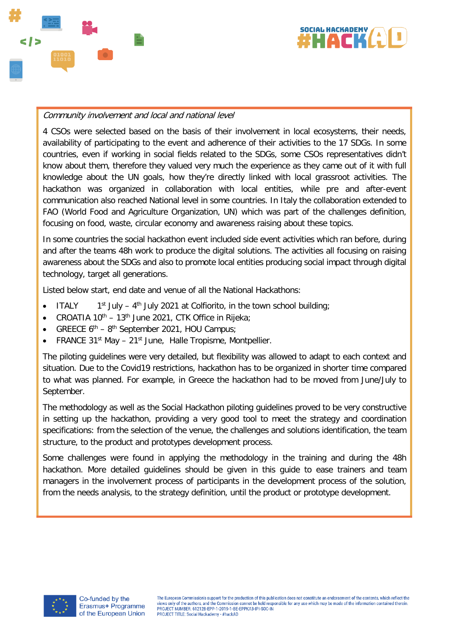



#### Community involvement and local and national level

4 CSOs were selected based on the basis of their involvement in local ecosystems, their needs, availability of participating to the event and adherence of their activities to the 17 SDGs. In some countries, even if working in social fields related to the SDGs, some CSOs representatives didn't know about them, therefore they valued very much the experience as they came out of it with full knowledge about the UN goals, how they're directly linked with local grassroot activities. The hackathon was organized in collaboration with local entities, while pre and after-event communication also reached National level in some countries. In Italy the collaboration extended to FAO (World Food and Agriculture Organization, UN) which was part of the challenges definition, focusing on food, waste, circular economy and awareness raising about these topics.

In some countries the social hackathon event included side event activities which ran before, during and after the teams 48h work to produce the digital solutions. The activities all focusing on raising awareness about the SDGs and also to promote local entities producing social impact through digital technology, target all generations.

Listed below start, end date and venue of all the National Hackathons:

- ITALY  $1^{\text{st}}$  July 4<sup>th</sup> July 2021 at Colfiorito, in the town school building;
- CROATIA  $10^{th}$   $13^{th}$  June 2021, CTK Office in Rijeka;
- GREECE  $6<sup>th</sup> 8<sup>th</sup>$  September 2021, HOU Campus;
- FRANCE  $31^{st}$  May  $21^{st}$  June, Halle Tropisme, Montpellier.

The piloting guidelines were very detailed, but flexibility was allowed to adapt to each context and situation. Due to the Covid19 restrictions, hackathon has to be organized in shorter time compared to what was planned. For example, in Greece the hackathon had to be moved from June/July to September.

The methodology as well as the Social Hackathon piloting guidelines proved to be very constructive in setting up the hackathon, providing a very good tool to meet the strategy and coordination specifications: from the selection of the venue, the challenges and solutions identification, the team structure, to the product and prototypes development process.

<span id="page-8-0"></span>Some challenges were found in applying the methodology in the training and during the 48h hackathon. More detailed guidelines should be given in this guide to ease trainers and team managers in the involvement process of participants in the development process of the solution, from the needs analysis, to the strategy definition, until the product or prototype development.

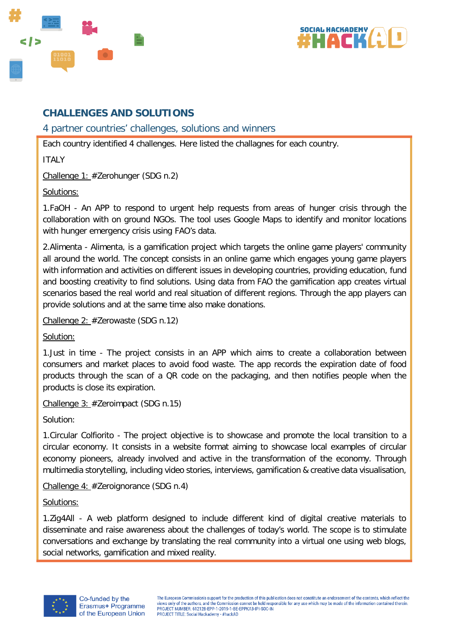



# **CHALLENGES AND SOLUTIONS**

<span id="page-9-0"></span>4 partner countries' challenges, solutions and winners

Each country identified 4 challenges. Here listed the challagnes for each country.

ITALY

Challenge 1: #Zerohunger (SDG n.2)

Solutions:

1.FaOH - An APP to respond to urgent help requests from areas of hunger crisis through the collaboration with on ground NGOs. The tool uses Google Maps to identify and monitor locations with hunger emergency crisis using FAO's data.

2.Alimenta - Alimenta, is a gamification project which targets the online game players' community all around the world. The concept consists in an online game which engages young game players with information and activities on different issues in developing countries, providing education, fund and boosting creativity to find solutions. Using data from FAO the gamification app creates virtual scenarios based the real world and real situation of different regions. Through the app players can provide solutions and at the same time also make donations.

Challenge 2: #Zerowaste (SDG n.12)

Solution:

1.Just in time - The project consists in an APP which aims to create a collaboration between consumers and market places to avoid food waste. The app records the expiration date of food products through the scan of a QR code on the packaging, and then notifies people when the products is close its expiration.

Challenge 3: #Zeroimpact (SDG n.15)

Solution:

1.Circular Colfiorito - The project objective is to showcase and promote the local transition to a circular economy. It consists in a website format aiming to showcase local examples of circular economy pioneers, already involved and active in the transformation of the economy. Through multimedia storytelling, including video stories, interviews, gamification & creative data visualisation,

Challenge 4: #Zeroignorance (SDG n.4)

Solutions:

1.Zig4All - A web platform designed to include different kind of digital creative materials to disseminate and raise awareness about the challenges of today's world. The scope is to stimulate conversations and exchange by translating the real community into a virtual one using web blogs, social networks, gamification and mixed reality.

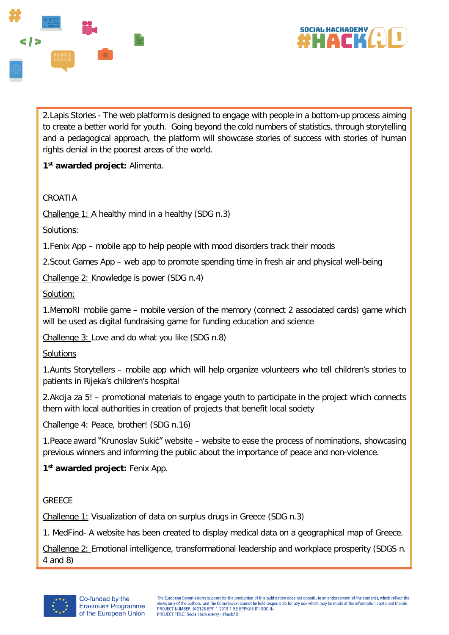



2.Lapis Stories - The web platform is designed to engage with people in a bottom-up process aiming to create a better world for youth. Going beyond the cold numbers of statistics, through storytelling and a pedagogical approach, the platform will showcase stories of success with stories of human rights denial in the poorest areas of the world.

**1st awarded project:** Alimenta.

#### CROATIA

Challenge 1: A healthy mind in a healthy (SDG n.3)

Solutions:

1.Fenix App – mobile app to help people with mood disorders track their moods

2.Scout Games App – web app to promote spending time in fresh air and physical well-being

Challenge 2: Knowledge is power (SDG n.4)

Solution:

1.MemoRI mobile game – mobile version of the memory (connect 2 associated cards) game which will be used as digital fundraising game for funding education and science

Challenge 3: Love and do what you like (SDG n.8)

**Solutions** 

1.Aunts Storytellers – mobile app which will help organize volunteers who tell children's stories to patients in Rijeka's children's hospital

2.Akcija za 5! – promotional materials to engage youth to participate in the project which connects them with local authorities in creation of projects that benefit local society

Challenge 4: Peace, brother! (SDG n.16)

1.Peace award "Krunoslav Sukić" website – website to ease the process of nominations, showcasing previous winners and informing the public about the importance of peace and non-violence.

**1st awarded project:** Fenix App.

**GREECE** 

Challenge 1: Visualization of data on surplus drugs in Greece (SDG n.3)

1. MedFind- A website has been created to display medical data on a geographical map of Greece.

Challenge 2: Emotional intelligence, transformational leadership and workplace prosperity (SDGS n. 4 and 8)

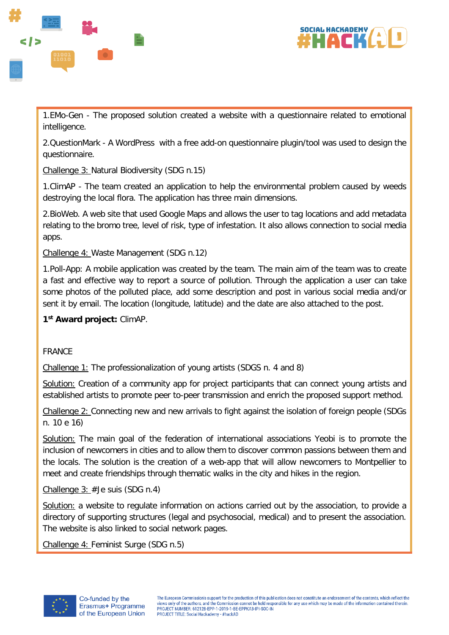



1.EMo-Gen - The proposed solution created a website with a questionnaire related to emotional intelligence.

2.QuestionMark - A WordPress with a free add-on questionnaire plugin/tool was used to design the questionnaire.

Challenge 3: Natural Biodiversity (SDG n.15)

1.ClimAP - The team created an application to help the environmental problem caused by weeds destroying the local flora. The application has three main dimensions.

2.BioWeb. A web site that used Google Maps and allows the user to tag locations and add metadata relating to the bromo tree, level of risk, type of infestation. It also allows connection to social media apps.

Challenge 4: Waste Management (SDG n.12)

1.Poll-App: A mobile application was created by the team. The main aim of the team was to create a fast and effective way to report a source of pollution. Through the application a user can take some photos of the polluted place, add some description and post in various social media and/or sent it by email. The location (longitude, latitude) and the date are also attached to the post.

#### **1st Award project:** ClimAP.

#### FRANCE

Challenge 1: The professionalization of young artists (SDGS n. 4 and 8)

Solution: Creation of a community app for project participants that can connect young artists and established artists to promote peer to-peer transmission and enrich the proposed support method.

Challenge 2: Connecting new and new arrivals to fight against the isolation of foreign people (SDGs n. 10 e 16)

Solution: The main goal of the federation of international associations Yeobi is to promote the inclusion of newcomers in cities and to allow them to discover common passions between them and the locals. The solution is the creation of a web-app that will allow newcomers to Montpellier to meet and create friendships through thematic walks in the city and hikes in the region.

Challenge 3: #Je suis (SDG n.4)

Solution: a website to regulate information on actions carried out by the association, to provide a directory of supporting structures (legal and psychosocial, medical) and to present the association. The website is also linked to social network pages.

Challenge 4: Feminist Surge (SDG n.5)

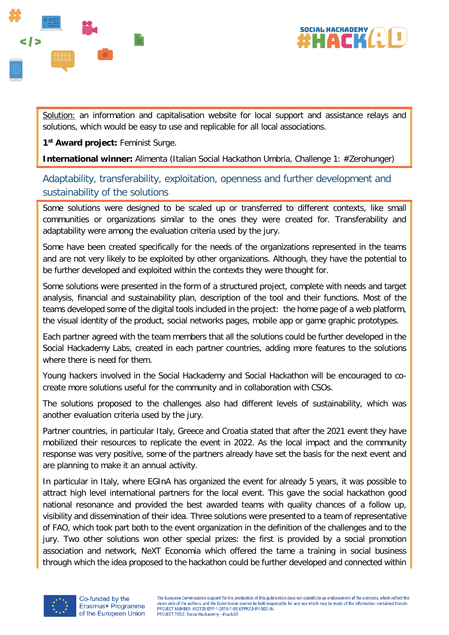



Solution: an information and capitalisation website for local support and assistance relays and solutions, which would be easy to use and replicable for all local associations.

**1st Award project:** Feminist Surge.

**International winner:** Alimenta (Italian Social Hackathon Umbria, Challenge 1: #Zerohunger)

# <span id="page-12-0"></span>Adaptability, transferability, exploitation, openness and further development and sustainability of the solutions

Some solutions were designed to be scaled up or transferred to different contexts, like small communities or organizations similar to the ones they were created for. Transferability and adaptability were among the evaluation criteria used by the jury.

Some have been created specifically for the needs of the organizations represented in the teams and are not very likely to be exploited by other organizations. Although, they have the potential to be further developed and exploited within the contexts they were thought for.

Some solutions were presented in the form of a structured project, complete with needs and target analysis, financial and sustainability plan, description of the tool and their functions. Most of the teams developed some of the digital tools included in the project: the home page of a web platform, the visual identity of the product, social networks pages, mobile app or game graphic prototypes.

Each partner agreed with the team members that all the solutions could be further developed in the Social Hackademy Labs, created in each partner countries, adding more features to the solutions where there is need for them.

Young hackers involved in the Social Hackademy and Social Hackathon will be encouraged to cocreate more solutions useful for the community and in collaboration with CSOs.

The solutions proposed to the challenges also had different levels of sustainability, which was another evaluation criteria used by the jury.

Partner countries, in particular Italy, Greece and Croatia stated that after the 2021 event they have mobilized their resources to replicate the event in 2022. As the local impact and the community response was very positive, some of the partners already have set the basis for the next event and are planning to make it an annual activity.

In particular in Italy, where EGInA has organized the event for already 5 years, it was possible to attract high level international partners for the local event. This gave the social hackathon good national resonance and provided the best awarded teams with quality chances of a follow up, visibility and dissemination of their idea. Three solutions were presented to a team of representative of FAO, which took part both to the event organization in the definition of the challenges and to the jury. Two other solutions won other special prizes: the first is provided by a social promotion association and network, NeXT Economia which offered the tame a training in social business through which the idea proposed to the hackathon could be further developed and connected within

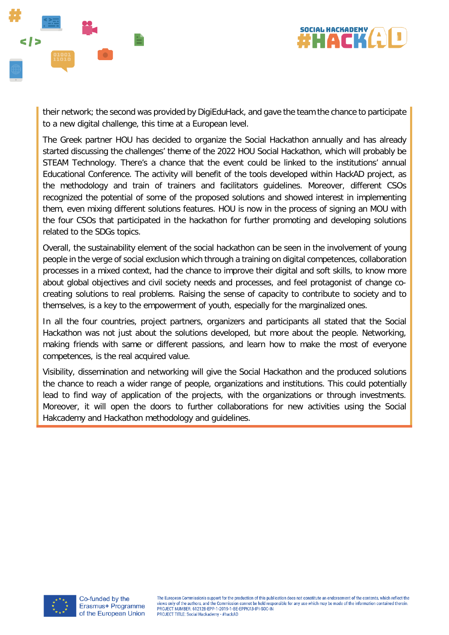



their network; the second was provided by DigiEduHack, and gave the team the chance to participate to a new digital challenge, this time at a European level.

The Greek partner HOU has decided to organize the Social Hackathon annually and has already started discussing the challenges' theme of the 2022 HOU Social Hackathon, which will probably be STEAM Technology. There's a chance that the event could be linked to the institutions' annual Educational Conference. The activity will benefit of the tools developed within HackAD project, as the methodology and train of trainers and facilitators guidelines. Moreover, different CSOs recognized the potential of some of the proposed solutions and showed interest in implementing them, even mixing different solutions features. HOU is now in the process of signing an MOU with the four CSOs that participated in the hackathon for further promoting and developing solutions related to the SDGs topics.

Overall, the sustainability element of the social hackathon can be seen in the involvement of young people in the verge of social exclusion which through a training on digital competences, collaboration processes in a mixed context, had the chance to improve their digital and soft skills, to know more about global objectives and civil society needs and processes, and feel protagonist of change cocreating solutions to real problems. Raising the sense of capacity to contribute to society and to themselves, is a key to the empowerment of youth, especially for the marginalized ones.

In all the four countries, project partners, organizers and participants all stated that the Social Hackathon was not just about the solutions developed, but more about the people. Networking, making friends with same or different passions, and learn how to make the most of everyone competences, is the real acquired value.

<span id="page-13-0"></span>Visibility, dissemination and networking will give the Social Hackathon and the produced solutions the chance to reach a wider range of people, organizations and institutions. This could potentially lead to find way of application of the projects, with the organizations or through investments. Moreover, it will open the doors to further collaborations for new activities using the Social Hakcademy and Hackathon methodology and guidelines.

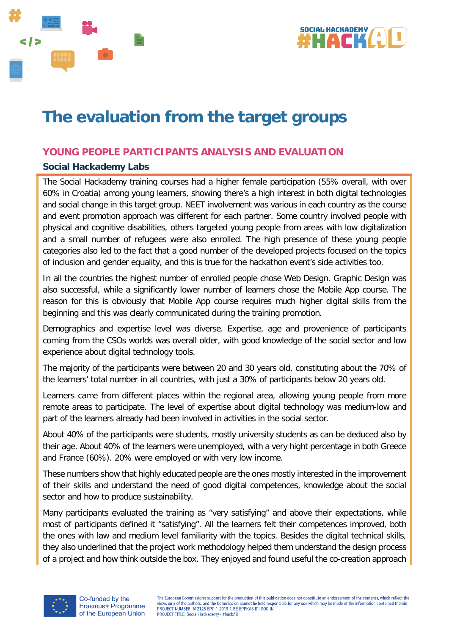



# **The evaluation from the target groups**

# <span id="page-14-0"></span>**YOUNG PEOPLE PARTICIPANTS ANALYSIS AND EVALUATION**

## <span id="page-14-1"></span>**Social Hackademy Labs**

The Social Hackademy training courses had a higher female participation (55% overall, with over 60% in Croatia) among young learners, showing there's a high interest in both digital technologies and social change in this target group. NEET involvement was various in each country as the course and event promotion approach was different for each partner. Some country involved people with physical and cognitive disabilities, others targeted young people from areas with low digitalization and a small number of refugees were also enrolled. The high presence of these young people categories also led to the fact that a good number of the developed projects focused on the topics of inclusion and gender equality, and this is true for the hackathon event's side activities too.

In all the countries the highest number of enrolled people chose Web Design. Graphic Design was also successful, while a significantly lower number of learners chose the Mobile App course. The reason for this is obviously that Mobile App course requires much higher digital skills from the beginning and this was clearly communicated during the training promotion.

Demographics and expertise level was diverse. Expertise, age and provenience of participants coming from the CSOs worlds was overall older, with good knowledge of the social sector and low experience about digital technology tools.

The majority of the participants were between 20 and 30 years old, constituting about the 70% of the learners' total number in all countries, with just a 30% of participants below 20 years old.

Learners came from different places within the regional area, allowing young people from more remote areas to participate. The level of expertise about digital technology was medium-low and part of the learners already had been involved in activities in the social sector.

About 40% of the participants were students, mostly university students as can be deduced also by their age. About 40% of the learners were unemployed, with a very hight percentage in both Greece and France (60%). 20% were employed or with very low income.

These numbers show that highly educated people are the ones mostly interested in the improvement of their skills and understand the need of good digital competences, knowledge about the social sector and how to produce sustainability.

Many participants evaluated the training as "very satisfying" and above their expectations, while most of participants defined it "satisfying". All the learners felt their competences improved, both the ones with law and medium level familiarity with the topics. Besides the digital technical skills, they also underlined that the project work methodology helped them understand the design process of a project and how think outside the box. They enjoyed and found useful the co-creation approach

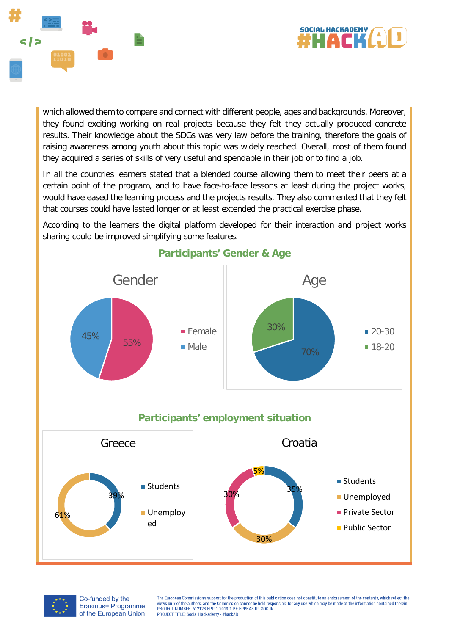



which allowed them to compare and connect with different people, ages and backgrounds. Moreover, they found exciting working on real projects because they felt they actually produced concrete results. Their knowledge about the SDGs was very law before the training, therefore the goals of raising awareness among youth about this topic was widely reached. Overall, most of them found they acquired a series of skills of very useful and spendable in their job or to find a job.

In all the countries learners stated that a blended course allowing them to meet their peers at a certain point of the program, and to have face-to-face lessons at least during the project works, would have eased the learning process and the projects results. They also commented that they felt that courses could have lasted longer or at least extended the practical exercise phase.

According to the learners the digital platform developed for their interaction and project works sharing could be improved simplifying some features.



# **Participants' Gender & Age**

# **Participants' employment situation**





Co-funded by the Erasmus+ Programme of the European Union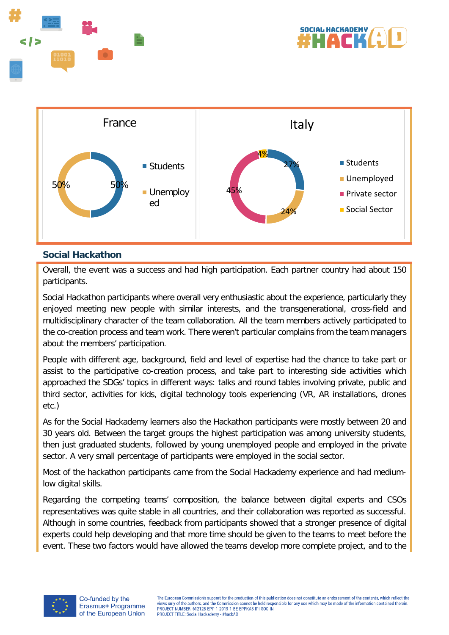





## <span id="page-16-0"></span>**Social Hackathon**

Overall, the event was a success and had high participation. Each partner country had about 150 participants.

Social Hackathon participants where overall very enthusiastic about the experience, particularly they enjoyed meeting new people with similar interests, and the transgenerational, cross-field and multidisciplinary character of the team collaboration. All the team members actively participated to the co-creation process and team work. There weren't particular complains from the team managers about the members' participation.

People with different age, background, field and level of expertise had the chance to take part or assist to the participative co-creation process, and take part to interesting side activities which approached the SDGs' topics in different ways: talks and round tables involving private, public and third sector, activities for kids, digital technology tools experiencing (VR, AR installations, drones etc.)

As for the Social Hackademy learners also the Hackathon participants were mostly between 20 and 30 years old. Between the target groups the highest participation was among university students, then just graduated students, followed by young unemployed people and employed in the private sector. A very small percentage of participants were employed in the social sector.

Most of the hackathon participants came from the Social Hackademy experience and had mediumlow digital skills.

Regarding the competing teams' composition, the balance between digital experts and CSOs representatives was quite stable in all countries, and their collaboration was reported as successful. Although in some countries, feedback from participants showed that a stronger presence of digital experts could help developing and that more time should be given to the teams to meet before the event. These two factors would have allowed the teams develop more complete project, and to the

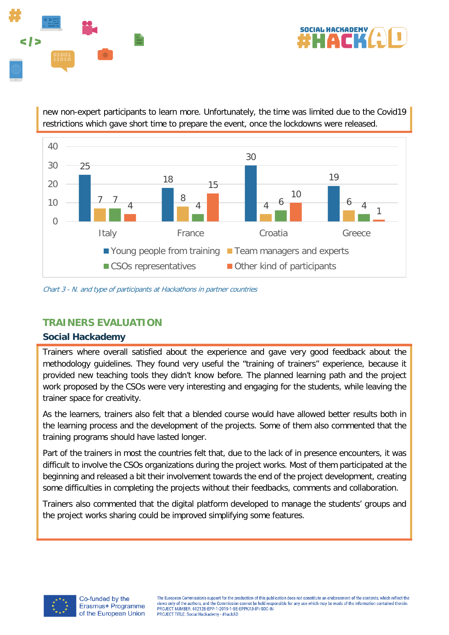



new non-expert participants to learn more. Unfortunately, the time was limited due to the Covid19 restrictions which gave short time to prepare the event, once the lockdowns were released.



Chart 3 - N. and type of participants at Hackathons in partner countries

# <span id="page-17-0"></span>**TRAINERS EVALUATION**

#### <span id="page-17-1"></span>**Social Hackademy**

Trainers where overall satisfied about the experience and gave very good feedback about the methodology guidelines. They found very useful the "training of trainers" experience, because it provided new teaching tools they didn't know before. The planned learning path and the project work proposed by the CSOs were very interesting and engaging for the students, while leaving the trainer space for creativity.

As the learners, trainers also felt that a blended course would have allowed better results both in the learning process and the development of the projects. Some of them also commented that the training programs should have lasted longer.

Part of the trainers in most the countries felt that, due to the lack of in presence encounters, it was difficult to involve the CSOs organizations during the project works. Most of them participated at the beginning and released a bit their involvement towards the end of the project development, creating some difficulties in completing the projects without their feedbacks, comments and collaboration.

Trainers also commented that the digital platform developed to manage the students' groups and the project works sharing could be improved simplifying some features.

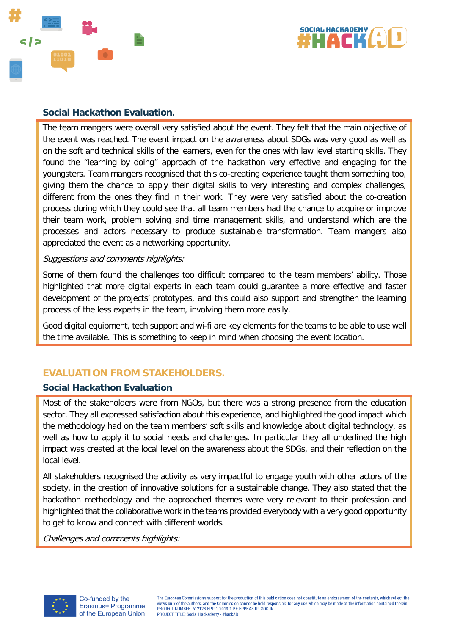



#### <span id="page-18-0"></span>**Social Hackathon Evaluation.**

The team mangers were overall very satisfied about the event. They felt that the main objective of the event was reached. The event impact on the awareness about SDGs was very good as well as on the soft and technical skills of the learners, even for the ones with law level starting skills. They found the "learning by doing" approach of the hackathon very effective and engaging for the youngsters. Team mangers recognised that this co-creating experience taught them something too, giving them the chance to apply their digital skills to very interesting and complex challenges, different from the ones they find in their work. They were very satisfied about the co-creation process during which they could see that all team members had the chance to acquire or improve their team work, problem solving and time management skills, and understand which are the processes and actors necessary to produce sustainable transformation. Team mangers also appreciated the event as a networking opportunity.

#### Suggestions and comments highlights:

Some of them found the challenges too difficult compared to the team members' ability. Those highlighted that more digital experts in each team could guarantee a more effective and faster development of the projects' prototypes, and this could also support and strengthen the learning process of the less experts in the team, involving them more easily.

Good digital equipment, tech support and wi-fi are key elements for the teams to be able to use well the time available. This is something to keep in mind when choosing the event location.

# <span id="page-18-1"></span>**EVALUATION FROM STAKEHOLDERS.**

#### <span id="page-18-2"></span>**Social Hackathon Evaluation**

Most of the stakeholders were from NGOs, but there was a strong presence from the education sector. They all expressed satisfaction about this experience, and highlighted the good impact which the methodology had on the team members' soft skills and knowledge about digital technology, as well as how to apply it to social needs and challenges. In particular they all underlined the high impact was created at the local level on the awareness about the SDGs, and their reflection on the local level.

All stakeholders recognised the activity as very impactful to engage youth with other actors of the society, in the creation of innovative solutions for a sustainable change. They also stated that the hackathon methodology and the approached themes were very relevant to their profession and highlighted that the collaborative work in the teams provided everybody with a very good opportunity to get to know and connect with different worlds.

Challenges and comments highlights:

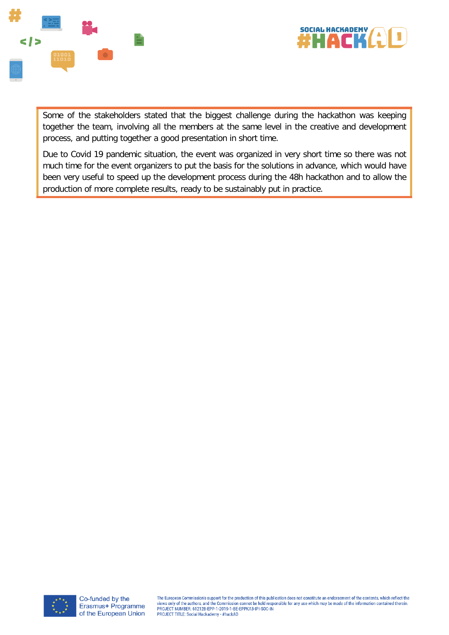



Some of the stakeholders stated that the biggest challenge during the hackathon was keeping together the team, involving all the members at the same level in the creative and development process, and putting together a good presentation in short time.

Due to Covid 19 pandemic situation, the event was organized in very short time so there was not much time for the event organizers to put the basis for the solutions in advance, which would have been very useful to speed up the development process during the 48h hackathon and to allow the production of more complete results, ready to be sustainably put in practice.

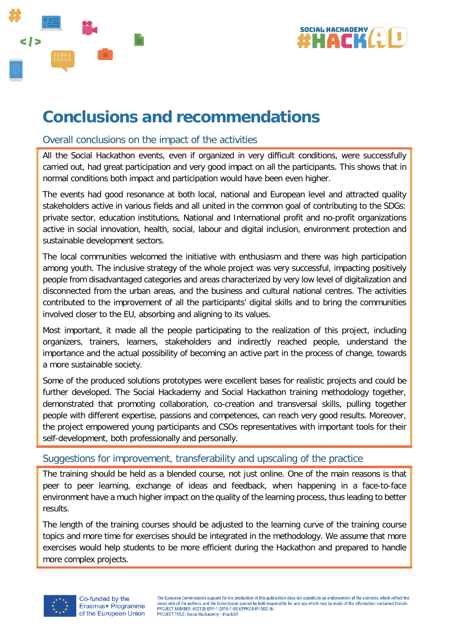



# **Conclusions and recommendations**

## <span id="page-20-0"></span>Overall conclusions on the impact of the activities

All the Social Hackathon events, even if organized in very difficult conditions, were successfully carried out, had great participation and very good impact on all the participants. This shows that in normal conditions both impact and participation would have been even higher.

The events had good resonance at both local, national and European level and attracted quality stakeholders active in various fields and all united in the common goal of contributing to the SDGs: private sector, education institutions, National and International profit and no-profit organizations active in social innovation, health, social, labour and digital inclusion, environment protection and sustainable development sectors.

The local communities welcomed the initiative with enthusiasm and there was high participation among youth. The inclusive strategy of the whole project was very successful, impacting positively people from disadvantaged categories and areas characterized by very low level of digitalization and disconnected from the urban areas, and the business and cultural national centres. The activities contributed to the improvement of all the participants' digital skills and to bring the communities involved closer to the EU, absorbing and aligning to its values.

Most important, it made all the people participating to the realization of this project, including organizers, trainers, learners, stakeholders and indirectly reached people, understand the importance and the actual possibility of becoming an active part in the process of change, towards a more sustainable society.

Some of the produced solutions prototypes were excellent bases for realistic projects and could be further developed. The Social Hackademy and Social Hackathon training methodology together, demonstrated that promoting collaboration, co-creation and transversal skills, pulling together people with different expertise, passions and competences, can reach very good results. Moreover, the project empowered young participants and CSOs representatives with important tools for their self-development, both professionally and personally.

# <span id="page-20-1"></span>Suggestions for improvement, transferability and upscaling of the practice

The training should be held as a blended course, not just online. One of the main reasons is that peer to peer learning, exchange of ideas and feedback, when happening in a face-to-face environment have a much higher impact on the quality of the learning process, thus leading to better results.

The length of the training courses should be adjusted to the learning curve of the training course topics and more time for exercises should be integrated in the methodology. We assume that more exercises would help students to be more efficient during the Hackathon and prepared to handle more complex projects.